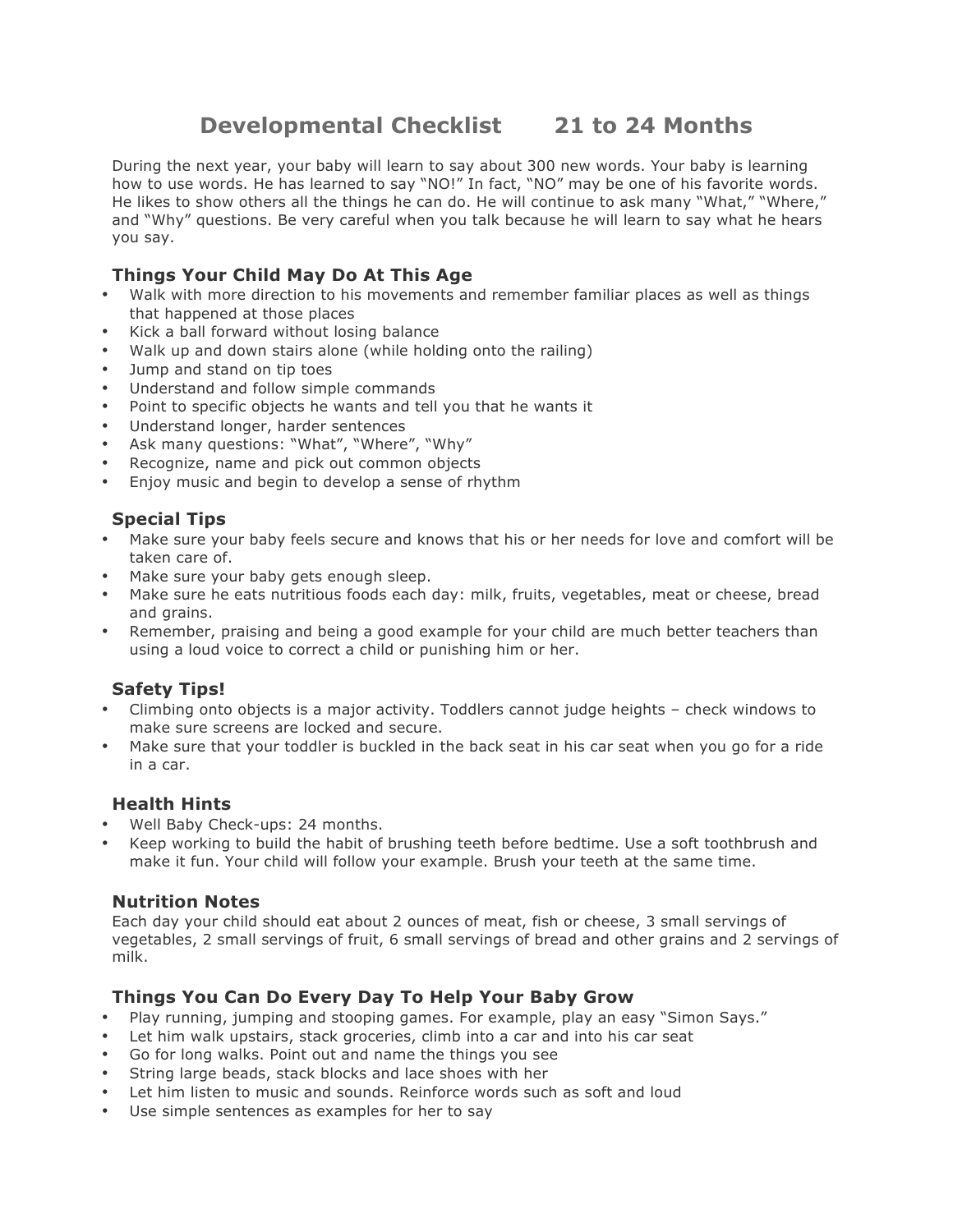# **Developmental Checklist 21 to 24 Months**

During the next year, your baby will learn to say about 300 new words. Your baby is learning how to use words. He has learned to say "NO!" In fact, "NO" may be one of his favorite words. He likes to show others all the things he can do. He will continue to ask many "What," "Where," and "Why" questions. Be very careful when you talk because he will learn to say what he hears you say.

## **Things Your Child May Do At This Age**

- Walk with more direction to his movements and remember familiar places as well as things that happened at those places
- Kick a ball forward without losing balance
- Walk up and down stairs alone (while holding onto the railing)
- Jump and stand on tip toes
- Understand and follow simple commands
- Point to specific objects he wants and tell you that he wants it
- Understand longer, harder sentences
- Ask many questions: "What", "Where", "Why"
- Recognize, name and pick out common objects
- Enjoy music and begin to develop a sense of rhythm

### **Special Tips**

- Make sure your baby feels secure and knows that his or her needs for love and comfort will be taken care of.
- Make sure your baby gets enough sleep.
- Make sure he eats nutritious foods each day: milk, fruits, vegetables, meat or cheese, bread and grains.
- Remember, praising and being a good example for your child are much better teachers than using a loud voice to correct a child or punishing him or her.

### **Safety Tips!**

- Climbing onto objects is a major activity. Toddlers cannot judge heights check windows to make sure screens are locked and secure.
- Make sure that your toddler is buckled in the back seat in his car seat when you go for a ride in a car.

### **Health Hints**

- Well Baby Check-ups: 24 months.
- Keep working to build the habit of brushing teeth before bedtime. Use a soft toothbrush and make it fun. Your child will follow your example. Brush your teeth at the same time.

#### **Nutrition Notes**

Each day your child should eat about 2 ounces of meat, fish or cheese, 3 small servings of vegetables, 2 small servings of fruit, 6 small servings of bread and other grains and 2 servings of milk.

### **Things You Can Do Every Day To Help Your Baby Grow**

- Play running, jumping and stooping games. For example, play an easy "Simon Says."
- Let him walk upstairs, stack groceries, climb into a car and into his car seat
- Go for long walks. Point out and name the things you see
- String large beads, stack blocks and lace shoes with her
- Let him listen to music and sounds. Reinforce words such as soft and loud
- Use simple sentences as examples for her to say